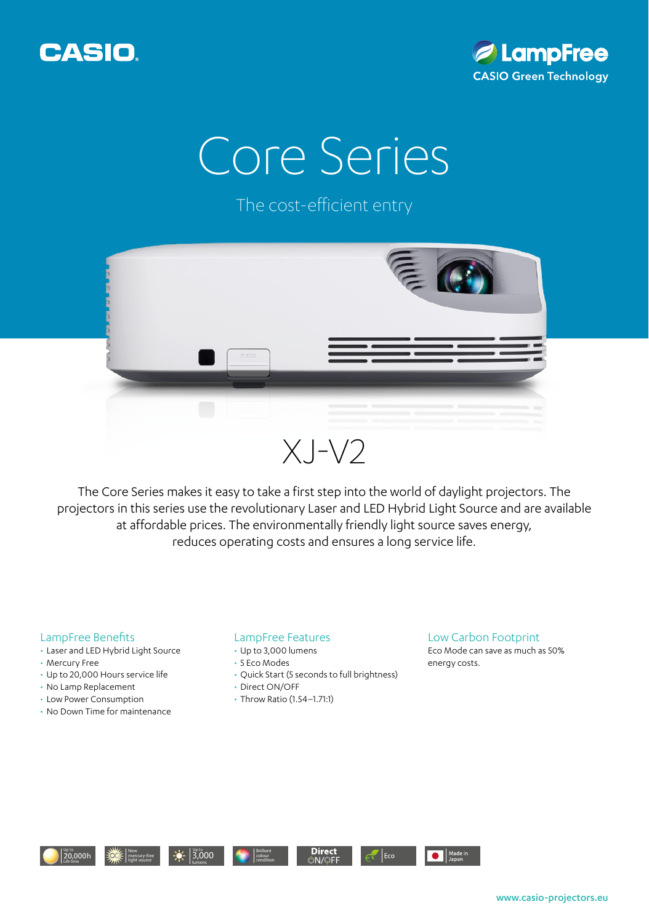



## Core Series

The cost-efficient entry



The Core Series makes it easy to take a first step into the world of daylight projectors. The projectors in this series use the revolutionary Laser and LED Hybrid Light Source and are available at affordable prices. The environmentally friendly light source saves energy, reduces operating costs and ensures a long service life.

## LampFree Benefits

- Laser and LED Hybrid Light Source
- Mercury Free
- Up to 20,000 Hours service life
- No Lamp Replacement
- Low Power Consumption
- No Down Time for maintenance

## LampFree Features

- Up to 3,000 lumens
- 5 Eco Modes
- Quick Start (5 seconds to full brightness)
- Direct ON/OFF
- Throw Ratio (1.54–1.71:1)

## Low Carbon Footprint

Eco Mode can save as much as 50% energy costs.